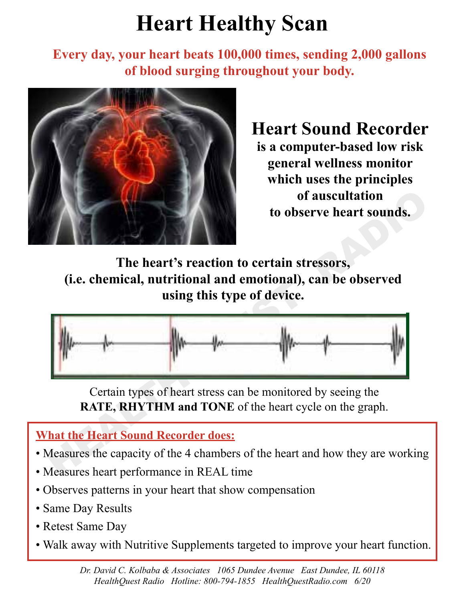## **Heart Healthy Scan**

**Every day, your heart beats 100,000 times, sending 2,000 gallons of blood surging throughout your body.**



**Heart Sound Recorder is a computer-based low risk general wellness monitor which uses the principles of auscultation to observe heart sounds.**

**The heart's reaction to certain stressors, (i.e. chemical, nutritional and emotional), can be observed using this type of device.**



Certain types of heart stress can be monitored by seeing the **RATE, RHYTHM and TONE** of the heart cycle on the graph.

## **What the Heart Sound Recorder does:**

- Measures the capacity of the 4 chambers of the heart and how they are working
- Measures heart performance in REAL time
- Observes patterns in your heart that show compensation
- Same Day Results
- Retest Same Day
- Walk away with Nutritive Supplements targeted to improve your heart function.